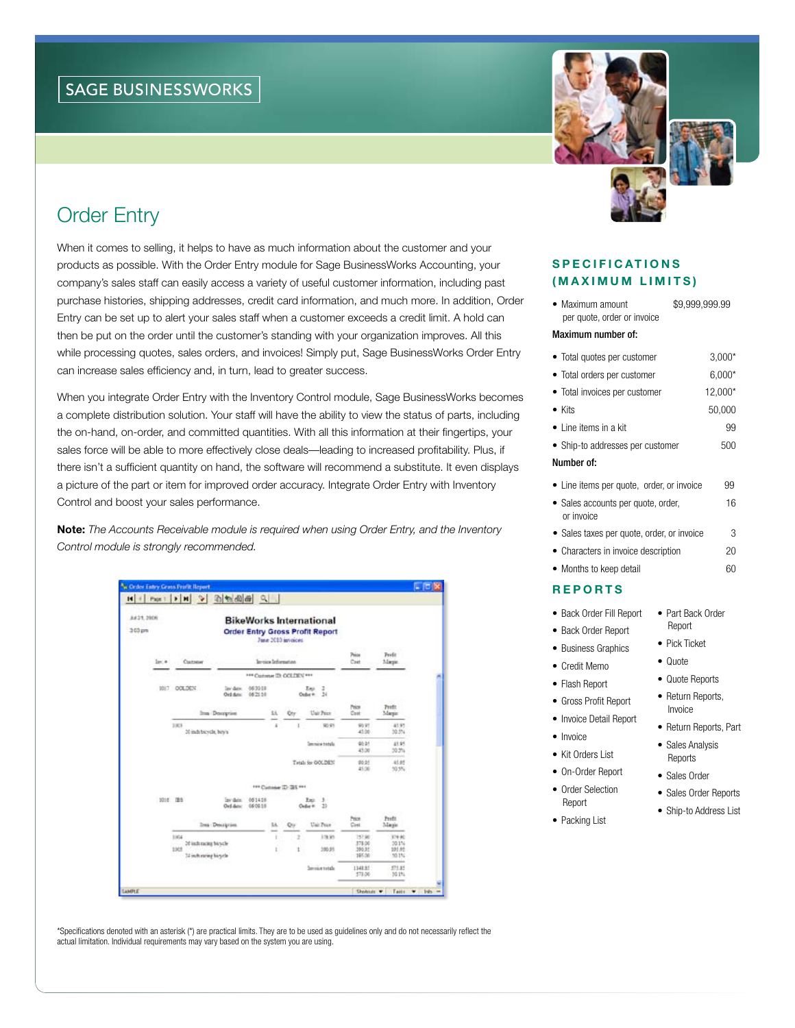# Order Entry

When it comes to selling, it helps to have as much information about the customer and your products as possible. With the Order Entry module for Sage BusinessWorks Accounting, your company's sales staff can easily access a variety of useful customer information, including past purchase histories, shipping addresses, credit card information, and much more. In addition, Order Entry can be set up to alert your sales staff when a customer exceeds a credit limit. A hold can then be put on the order until the customer's standing with your organization improves. All this while processing quotes, sales orders, and invoices! Simply put, Sage BusinessWorks Order Entry can increase sales efficiency and, in turn, lead to greater success.

When you integrate Order Entry with the Inventory Control module, Sage BusinessWorks becomes a complete distribution solution. Your staff will have the ability to view the status of parts, including the on-hand, on-order, and committed quantities. With all this information at their fingertips, your sales force will be able to more effectively close deals—leading to increased profitability. Plus, if there isn't a sufficient quantity on hand, the software will recommend a substitute. It even displays a picture of the part or item for improved order accuracy. Integrate Order Entry with Inventory Control and boost your sales performance.

Note: *The Accounts Receivable module is required when using Order Entry, and the Inventory Control module is strongly recommended.*





| (MAXIMUM LIMITS)                                                                                                                                                                                              |                                                        |
|---------------------------------------------------------------------------------------------------------------------------------------------------------------------------------------------------------------|--------------------------------------------------------|
| • Maximum amount<br>\$9,999,999.99<br>per quote, order or invoice                                                                                                                                             |                                                        |
| Maximum number of:                                                                                                                                                                                            |                                                        |
| • Total quotes per customer<br>• Total orders per customer<br>• Total invoices per customer<br>$\bullet$ Kits<br>• Line items in a kit<br>• Ship-to addresses per customer                                    | $3,000*$<br>$6,000*$<br>12,000*<br>50,000<br>99<br>500 |
| Number of:                                                                                                                                                                                                    |                                                        |
| • Line items per quote, order, or invoice<br>• Sales accounts per quote, order,<br>or invoice<br>• Sales taxes per quote, order, or invoice<br>• Characters in invoice description<br>• Months to keep detail | 99<br>16<br>3<br>20<br>60                              |
| <b>REPORTS</b>                                                                                                                                                                                                |                                                        |
| • Back Order Fill Report<br>• Part Back Order<br>Report<br>• Back Order Report<br>• Pick Ticket<br>• Business Graphics                                                                                        |                                                        |

- • Credit Memo
- • Flash Report
- • Gross Profit Report
- Invoice Detail Report
- Invoice
- 
- • On-Order Report
- Order Selection
- Packing List
- • Quote
- 
- 
- 
- 
- Kit Orders List
- 
- Report
- 
- Return Reports, Invoice

• Quote Reports

- Return Reports, Part
- Sales Analysis Reports
- Sales Order
- • Sales Order Reports
- Ship-to Address List

\*Specifications denoted with an asterisk (\*) are practical limits. They are to be used as guidelines only and do not necessarily reflect the actual limitation. Individual requirements may vary based on the system you are using.